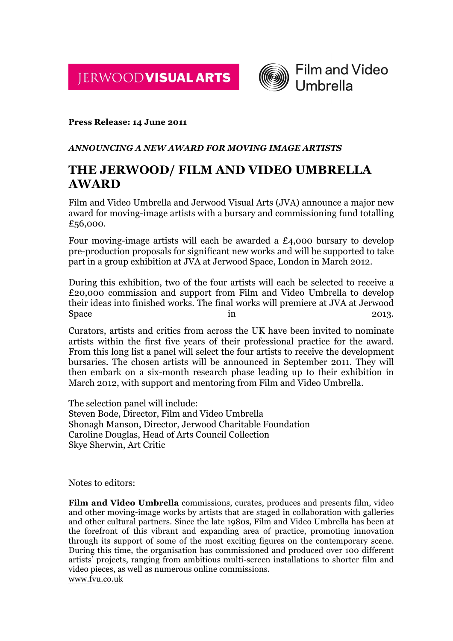JERWOODVISUAL ARTS



## **Press Release: 14 June 2011**

## *ANNOUNCING A NEW AWARD FOR MOVING IMAGE ARTISTS*

## **THE JERWOOD/ FILM AND VIDEO UMBRELLA AWARD**

Film and Video Umbrella and Jerwood Visual Arts (JVA) announce a major new award for moving-image artists with a bursary and commissioning fund totalling £56,000.

Four moving-image artists will each be awarded a £4,000 bursary to develop pre-production proposals for significant new works and will be supported to take part in a group exhibition at JVA at Jerwood Space, London in March 2012.

During this exhibition, two of the four artists will each be selected to receive a £20,000 commission and support from Film and Video Umbrella to develop their ideas into finished works. The final works will premiere at JVA at Jerwood Space in the contract of  $\ln$  2013.

Curators, artists and critics from across the UK have been invited to nominate artists within the first five years of their professional practice for the award. From this long list a panel will select the four artists to receive the development bursaries. The chosen artists will be announced in September 2011. They will then embark on a six-month research phase leading up to their exhibition in March 2012, with support and mentoring from Film and Video Umbrella.

The selection panel will include: Steven Bode, Director, Film and Video Umbrella Shonagh Manson, Director, Jerwood Charitable Foundation Caroline Douglas, Head of Arts Council Collection Skye Sherwin, Art Critic

Notes to editors:

**Film and Video Umbrella** commissions, curates, produces and presents film, video and other moving-image works by artists that are staged in collaboration with galleries and other cultural partners. Since the late 1980s, Film and Video Umbrella has been at the forefront of this vibrant and expanding area of practice, promoting innovation through its support of some of the most exciting figures on the contemporary scene. During this time, the organisation has commissioned and produced over 100 different artists' projects, ranging from ambitious multi-screen installations to shorter film and video pieces, as well as numerous online commissions. www.fvu.co.uk